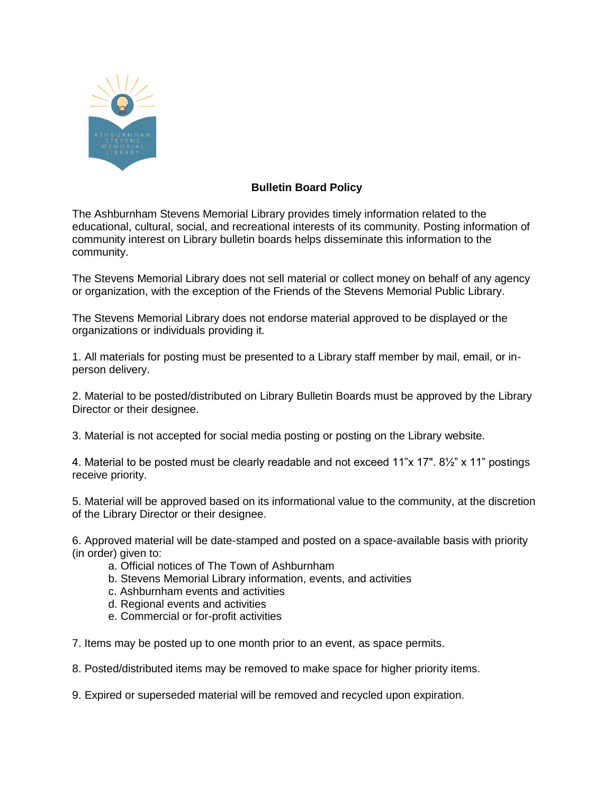

## **Bulletin Board Policy**

 The Ashburnham Stevens Memorial Library provides timely information related to the educational, cultural, social, and recreational interests of its community. Posting information of community interest on Library bulletin boards helps disseminate this information to the community.

 The Stevens Memorial Library does not sell material or collect money on behalf of any agency or organization, with the exception of the Friends of the Stevens Memorial Public Library.

 The Stevens Memorial Library does not endorse material approved to be displayed or the organizations or individuals providing it.

 1. All materials for posting must be presented to a Library staff member by mail, email, or in-person delivery.

 2. Material to be posted/distributed on Library Bulletin Boards must be approved by the Library Director or their designee.

3. Material is not accepted for social media posting or posting on the Library website.

 4. Material to be posted must be clearly readable and not exceed 11"x 17". 8½" x 11" postings receive priority.

 5. Material will be approved based on its informational value to the community, at the discretion of the Library Director or their designee.

 6. Approved material will be date-stamped and posted on a space-available basis with priority (in order) given to:

- a. Official notices of The Town of Ashburnham
- b. Stevens Memorial Library information, events, and activities
- c. Ashburnham events and activities
- d. Regional events and activities
- e. Commercial or for-profit activities

7. Items may be posted up to one month prior to an event, as space permits.

8. Posted/distributed items may be removed to make space for higher priority items.

9. Expired or superseded material will be removed and recycled upon expiration.